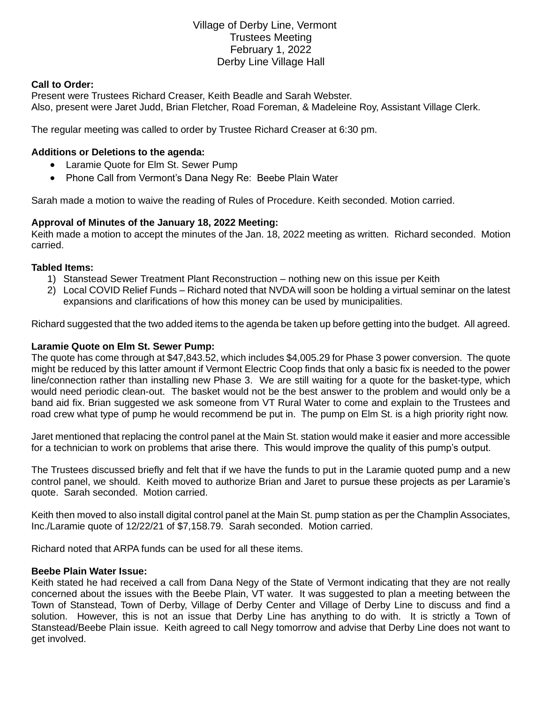# Village of Derby Line, Vermont Trustees Meeting February 1, 2022 Derby Line Village Hall

#### **Call to Order:**

Present were Trustees Richard Creaser, Keith Beadle and Sarah Webster. Also, present were Jaret Judd, Brian Fletcher, Road Foreman, & Madeleine Roy, Assistant Village Clerk.

The regular meeting was called to order by Trustee Richard Creaser at 6:30 pm.

### **Additions or Deletions to the agenda:**

- Laramie Quote for Elm St. Sewer Pump
- Phone Call from Vermont's Dana Negy Re: Beebe Plain Water

Sarah made a motion to waive the reading of Rules of Procedure. Keith seconded. Motion carried.

### **Approval of Minutes of the January 18, 2022 Meeting:**

Keith made a motion to accept the minutes of the Jan. 18, 2022 meeting as written. Richard seconded. Motion carried.

#### **Tabled Items:**

- 1) Stanstead Sewer Treatment Plant Reconstruction nothing new on this issue per Keith
- 2) Local COVID Relief Funds Richard noted that NVDA will soon be holding a virtual seminar on the latest expansions and clarifications of how this money can be used by municipalities.

Richard suggested that the two added items to the agenda be taken up before getting into the budget. All agreed.

#### **Laramie Quote on Elm St. Sewer Pump:**

The quote has come through at \$47,843.52, which includes \$4,005.29 for Phase 3 power conversion. The quote might be reduced by this latter amount if Vermont Electric Coop finds that only a basic fix is needed to the power line/connection rather than installing new Phase 3. We are still waiting for a quote for the basket-type, which would need periodic clean-out. The basket would not be the best answer to the problem and would only be a band aid fix. Brian suggested we ask someone from VT Rural Water to come and explain to the Trustees and road crew what type of pump he would recommend be put in. The pump on Elm St. is a high priority right now.

Jaret mentioned that replacing the control panel at the Main St. station would make it easier and more accessible for a technician to work on problems that arise there. This would improve the quality of this pump's output.

The Trustees discussed briefly and felt that if we have the funds to put in the Laramie quoted pump and a new control panel, we should. Keith moved to authorize Brian and Jaret to pursue these projects as per Laramie's quote. Sarah seconded. Motion carried.

Keith then moved to also install digital control panel at the Main St. pump station as per the Champlin Associates, Inc./Laramie quote of 12/22/21 of \$7,158.79. Sarah seconded. Motion carried.

Richard noted that ARPA funds can be used for all these items.

#### **Beebe Plain Water Issue:**

Keith stated he had received a call from Dana Negy of the State of Vermont indicating that they are not really concerned about the issues with the Beebe Plain, VT water. It was suggested to plan a meeting between the Town of Stanstead, Town of Derby, Village of Derby Center and Village of Derby Line to discuss and find a solution. However, this is not an issue that Derby Line has anything to do with. It is strictly a Town of Stanstead/Beebe Plain issue. Keith agreed to call Negy tomorrow and advise that Derby Line does not want to get involved.